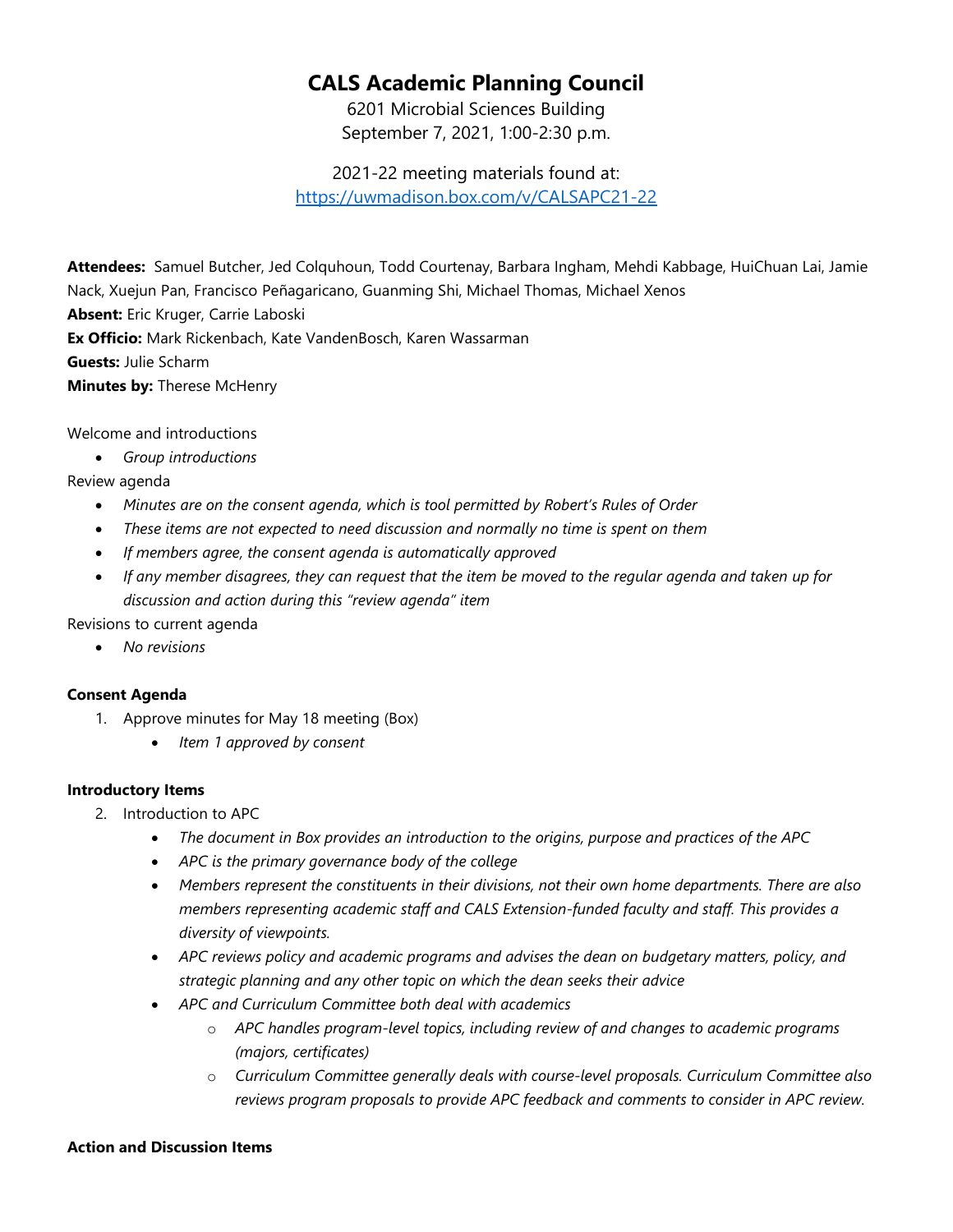# **CALS Academic Planning Council**

6201 Microbial Sciences Building September 7, 2021, 1:00-2:30 p.m.

2021-22 meeting materials found at: <https://uwmadison.box.com/v/CALSAPC21-22>

**Attendees:** Samuel Butcher, Jed Colquhoun, Todd Courtenay, Barbara Ingham, Mehdi Kabbage, HuiChuan Lai, Jamie Nack, Xuejun Pan, Francisco Peñagaricano, Guanming Shi, Michael Thomas, Michael Xenos **Absent:** Eric Kruger, Carrie Laboski **Ex Officio:** Mark Rickenbach, Kate VandenBosch, Karen Wassarman **Guests:** Julie Scharm **Minutes by:** Therese McHenry

Welcome and introductions

• *Group introductions*

Review agenda

- *Minutes are on the consent agenda, which is tool permitted by Robert's Rules of Order*
- *These items are not expected to need discussion and normally no time is spent on them*
- *If members agree, the consent agenda is automatically approved*
- *If any member disagrees, they can request that the item be moved to the regular agenda and taken up for discussion and action during this "review agenda" item*

Revisions to current agenda

• *No revisions* 

## **Consent Agenda**

- 1. Approve minutes for May 18 meeting (Box)
	- *Item 1 approved by consent*

## **Introductory Items**

- 2. Introduction to APC
	- *The document in Box provides an introduction to the origins, purpose and practices of the APC*
	- *APC is the primary governance body of the college*
	- *Members represent the constituents in their divisions, not their own home departments. There are also members representing academic staff and CALS Extension-funded faculty and staff. This provides a diversity of viewpoints.*
	- *APC reviews policy and academic programs and advises the dean on budgetary matters, policy, and strategic planning and any other topic on which the dean seeks their advice*
	- *APC and Curriculum Committee both deal with academics*
		- o *APC handles program-level topics, including review of and changes to academic programs (majors, certificates)*
		- o *Curriculum Committee generally deals with course-level proposals. Curriculum Committee also reviews program proposals to provide APC feedback and comments to consider in APC review.*

#### **Action and Discussion Items**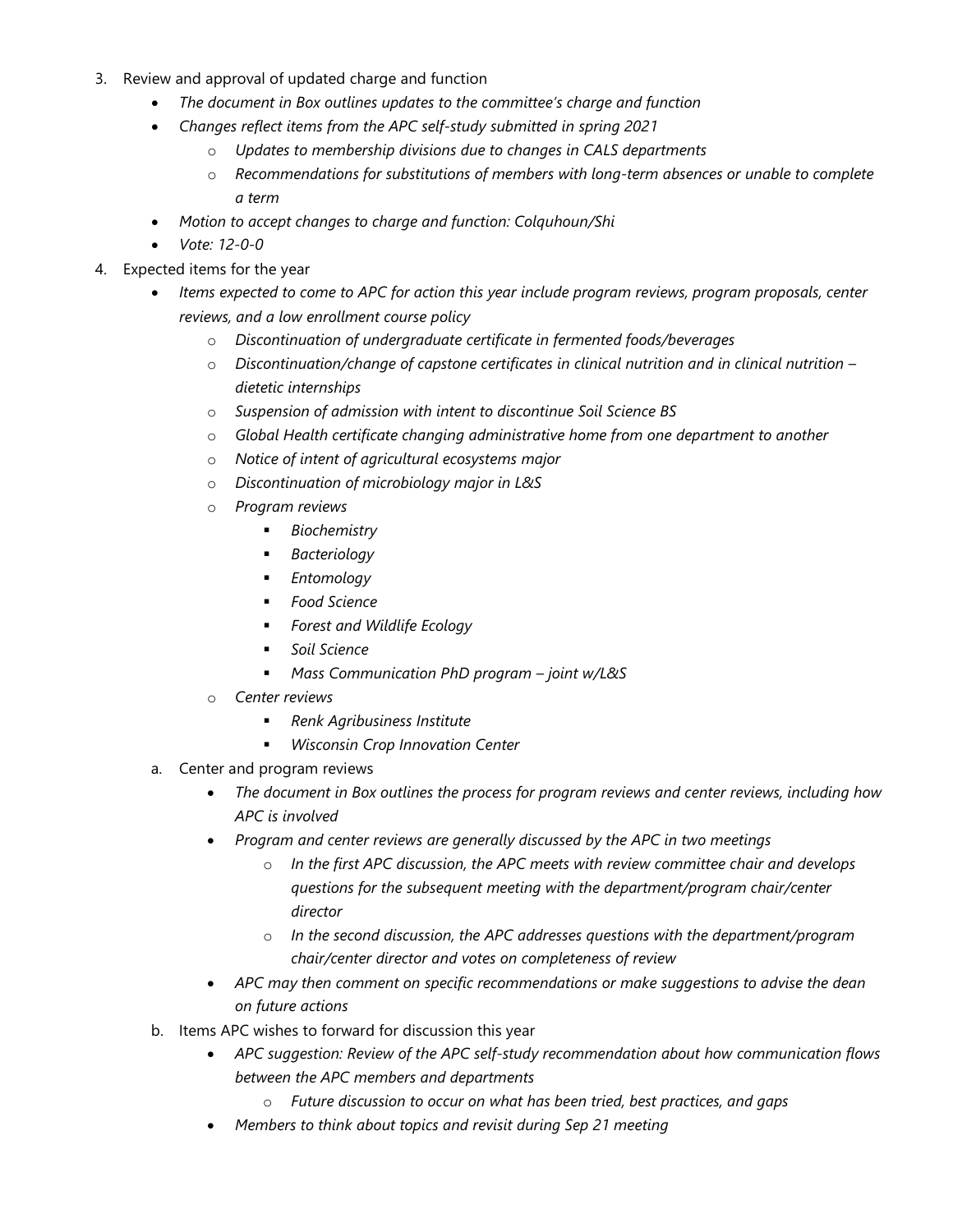- 3. Review and approval of updated charge and function
	- *The document in Box outlines updates to the committee's charge and function*
	- *Changes reflect items from the APC self-study submitted in spring 2021*
		- o *Updates to membership divisions due to changes in CALS departments*
		- o *Recommendations for substitutions of members with long-term absences or unable to complete a term*
	- *Motion to accept changes to charge and function: Colquhoun/Shi*
	- *Vote: 12-0-0*
- 4. Expected items for the year
	- *Items expected to come to APC for action this year include program reviews, program proposals, center reviews, and a low enrollment course policy*
		- o *Discontinuation of undergraduate certificate in fermented foods/beverages*
		- o *Discontinuation/change of capstone certificates in clinical nutrition and in clinical nutrition – dietetic internships*
		- o *Suspension of admission with intent to discontinue Soil Science BS*
		- o *Global Health certificate changing administrative home from one department to another*
		- o *Notice of intent of agricultural ecosystems major*
		- o *Discontinuation of microbiology major in L&S*
		- o *Program reviews*
			- *Biochemistry*
			- *Bacteriology*
			- *Entomology*
			- *Food Science*
			- *Forest and Wildlife Ecology*
			- *Soil Science*
			- *Mass Communication PhD program – joint w/L&S*
		- o *Center reviews*
			- *Renk Agribusiness Institute*
			- *Wisconsin Crop Innovation Center*
	- a. Center and program reviews
		- *The document in Box outlines the process for program reviews and center reviews, including how APC is involved*
		- *Program and center reviews are generally discussed by the APC in two meetings*
			- o *In the first APC discussion, the APC meets with review committee chair and develops questions for the subsequent meeting with the department/program chair/center director*
			- o *In the second discussion, the APC addresses questions with the department/program chair/center director and votes on completeness of review*
		- *APC may then comment on specific recommendations or make suggestions to advise the dean on future actions*
	- b. Items APC wishes to forward for discussion this year
		- *APC suggestion: Review of the APC self-study recommendation about how communication flows between the APC members and departments* 
			- o *Future discussion to occur on what has been tried, best practices, and gaps*
		- *Members to think about topics and revisit during Sep 21 meeting*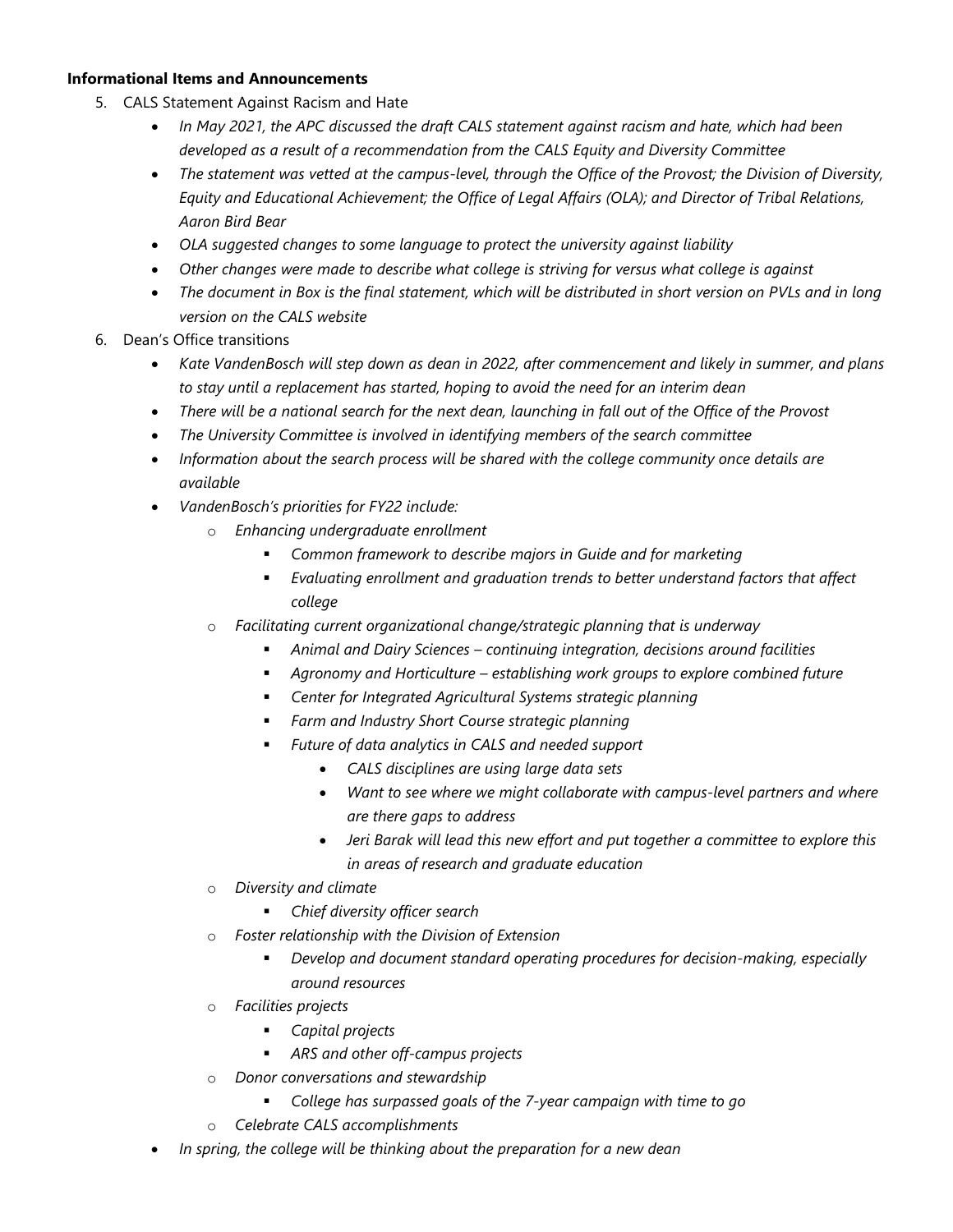### **Informational Items and Announcements**

- 5. CALS Statement Against Racism and Hate
	- *In May 2021, the APC discussed the draft CALS statement against racism and hate, which had been developed as a result of a recommendation from the CALS Equity and Diversity Committee*
	- *The statement was vetted at the campus-level, through the Office of the Provost; the Division of Diversity, Equity and Educational Achievement; the Office of Legal Affairs (OLA); and Director of Tribal Relations, Aaron Bird Bear*
	- *OLA suggested changes to some language to protect the university against liability*
	- *Other changes were made to describe what college is striving for versus what college is against*
	- *The document in Box is the final statement, which will be distributed in short version on PVLs and in long version on the CALS website*
- 6. Dean's Office transitions
	- *Kate VandenBosch will step down as dean in 2022, after commencement and likely in summer, and plans to stay until a replacement has started, hoping to avoid the need for an interim dean*
	- *There will be a national search for the next dean, launching in fall out of the Office of the Provost*
	- *The University Committee is involved in identifying members of the search committee*
	- *Information about the search process will be shared with the college community once details are available*
	- *VandenBosch's priorities for FY22 include:*
		- o *Enhancing undergraduate enrollment*
			- *Common framework to describe majors in Guide and for marketing*
			- *Evaluating enrollment and graduation trends to better understand factors that affect college*
		- o *Facilitating current organizational change/strategic planning that is underway*
			- *Animal and Dairy Sciences – continuing integration, decisions around facilities*
			- *Agronomy and Horticulture – establishing work groups to explore combined future*
			- *Center for Integrated Agricultural Systems strategic planning*
			- *Farm and Industry Short Course strategic planning*
			- *Future of data analytics in CALS and needed support*
				- *CALS disciplines are using large data sets*
				- *Want to see where we might collaborate with campus-level partners and where are there gaps to address*
				- *Jeri Barak will lead this new effort and put together a committee to explore this in areas of research and graduate education*
		- o *Diversity and climate*
			- *Chief diversity officer search*
		- o *Foster relationship with the Division of Extension*
			- *Develop and document standard operating procedures for decision-making, especially around resources*
		- o *Facilities projects*
			- *Capital projects*
			- *ARS and other off-campus projects*
		- o *Donor conversations and stewardship*
			- *College has surpassed goals of the 7-year campaign with time to go*
		- o *Celebrate CALS accomplishments*
	- *In spring, the college will be thinking about the preparation for a new dean*